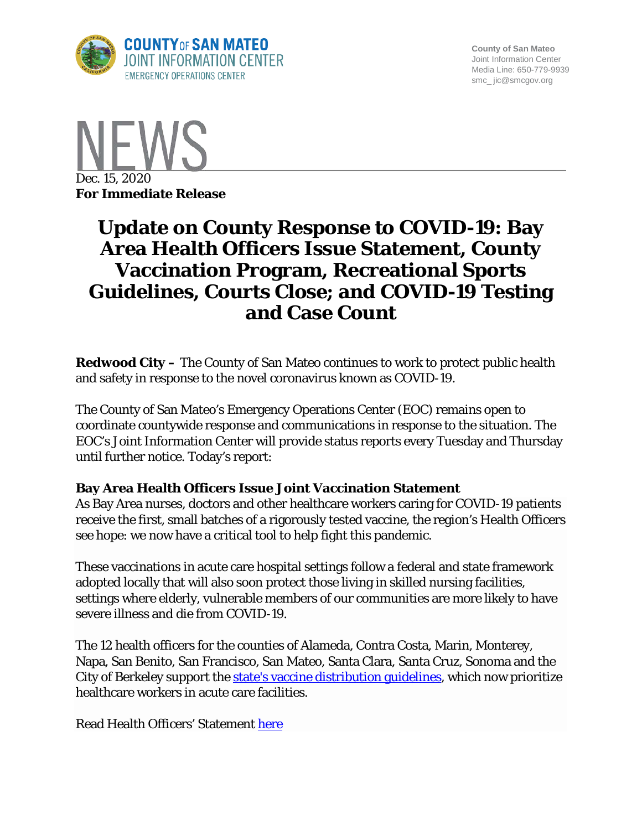

**County of San Mateo** Joint Information Center Media Line: 650-779-9939 smc\_ jic@smcgov.org



# **Update on County Response to COVID-19: Bay Area Health Officers Issue Statement, County Vaccination Program, Recreational Sports Guidelines, Courts Close; and COVID-19 Testing and Case Count**

**Redwood City –** The County of San Mateo continues to work to protect public health and safety in response to the novel coronavirus known as COVID-19.

The County of San Mateo's Emergency Operations Center (EOC) remains open to coordinate countywide response and communications in response to the situation. The EOC's Joint Information Center will provide status reports every Tuesday and Thursday until further notice. Today's report:

### **Bay Area Health Officers Issue Joint Vaccination Statement**

As Bay Area nurses, doctors and other healthcare workers caring for COVID-19 patients receive the first, small batches of a rigorously tested vaccine, the region's Health Officers see hope: we now have a critical tool to help fight this pandemic.

These vaccinations in acute care hospital settings follow a federal and state framework adopted locally that will also soon protect those living in skilled nursing facilities, settings where elderly, vulnerable members of our communities are more likely to have severe illness and die from COVID-19.

The 12 health officers for the counties of Alameda, Contra Costa, Marin, Monterey, Napa, San Benito, San Francisco, San Mateo, Santa Clara, Santa Cruz, Sonoma and the City of Berkeley support the [state's vaccine distribution guidelines,](https://www.cdph.ca.gov/Programs/CID/DCDC/Pages/COVID-19/CDPH-Allocation-Guidelines-for-COVID-19-Vaccine-During-Phase-1A-Recommendations.aspx) which now prioritize healthcare workers in acute care facilities.

Read Health Officers' Statement [here](https://www.smcgov.org/press-release/joint-statement-bay-area-health-officers)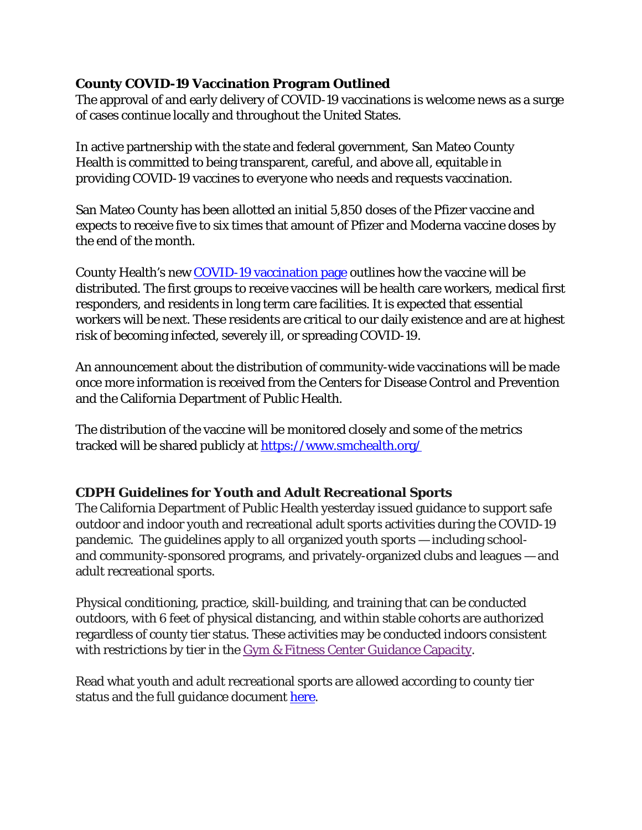### **County COVID-19 Vaccination Program Outlined**

The approval of and early delivery of COVID-19 vaccinations is welcome news as a surge of cases continue locally and throughout the United States.

In active partnership with the state and federal government, San Mateo County Health is committed to being transparent, careful, and above all, equitable in providing COVID-19 vaccines to everyone who needs and requests vaccination.

San Mateo County has been allotted an initial 5,850 doses of the Pfizer vaccine and expects to receive five to six times that amount of Pfizer and Moderna vaccine doses by the end of the month.

County Health's new [COVID-19 vaccination page](https://www.smchealth.org/covid-19-vaccination) outlines how the vaccine will be distributed. The first groups to receive vaccines will be health care workers, medical first responders, and residents in long term care facilities. It is expected that essential workers will be next. These residents are critical to our daily existence and are at highest risk of becoming infected, severely ill, or spreading COVID-19.   

An announcement about the distribution of community-wide vaccinations will be made once more information is received from the Centers for Disease Control and Prevention and the California Department of Public Health.

The distribution of the vaccine will be monitored closely and some of the metrics tracked will be shared publicly at<https://www.smchealth.org/>

# **CDPH Guidelines for Youth and Adult Recreational Sports**

The California Department of Public Health yesterday issued guidance to support safe outdoor and indoor youth and recreational adult sports activities during the COVID-19 pandemic. The guidelines apply to all organized youth sports — including schooland community-sponsored programs, and privately-organized clubs and leagues — and adult recreational sports.

Physical conditioning, practice, skill-building, and training that can be conducted outdoors, with 6 feet of physical distancing, and within stable cohorts are authorized regardless of county tier status. These activities may be conducted indoors consistent with restrictions by tier in the [Gym & Fitness Center Guidance Capacity.](https://files.covid19.ca.gov/pdf/guidance-fitness--en.pdf)

Read what youth and adult recreational sports are allowed according to county tier status and the full guidance document [here.](https://www.cdph.ca.gov/Programs/CID/DCDC/Pages/COVID-19/outdoor-indoor-recreational-sports.aspx?fbclid=IwAR1KTm69ttLootNF1COfIYyNTRMn7XJypePj8pztznxu_YvvwH0l2YZim6Y)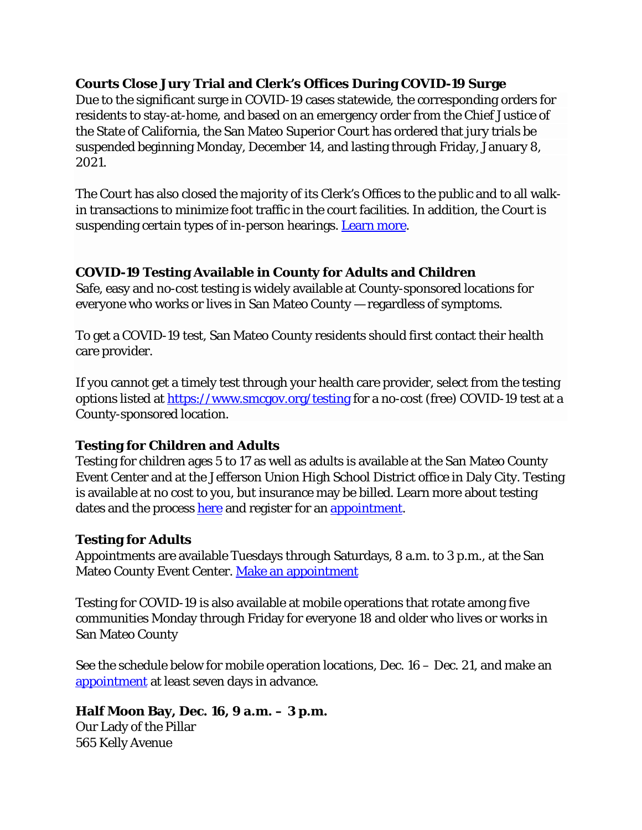# **Courts Close Jury Trial and Clerk's Offices During COVID-19 Surge**

Due to the significant surge in COVID-19 cases statewide, the corresponding orders for residents to stay-at-home, and based on an emergency order from the Chief Justice of the State of California, the San Mateo Superior Court has ordered that jury trials be suspended beginning Monday, December 14, and lasting through Friday, January 8, 2021.

The Court has also closed the majority of its Clerk's Offices to the public and to all walkin transactions to minimize foot traffic in the court facilities. In addition, the Court is suspending certain types of in-person hearings. [Learn more.](https://www.smcgov.org/press-release/court-suspend-services-temporarily-during-latest-surge-covid-19-pandemic)

## **COVID-19 Testing Available in County for Adults and Children**

Safe, easy and no-cost testing is widely available at County-sponsored locations for everyone who works or lives in San Mateo County — regardless of symptoms.

To get a COVID-19 test, San Mateo County residents should first contact their health care provider.

If you cannot get a timely test through your health care provider, select from the testing options listed at<https://www.smcgov.org/testing> for a no-cost (free) COVID-19 test at a County-sponsored location.

# **Testing for Children and Adults**

Testing for children ages 5 to 17 as well as adults is available at the San Mateo County Event Center and at the Jefferson Union High School District office in Daly City. Testing is available at no cost to you, but insurance may be billed. Learn more about testing dates and the process [here](https://www.smcgov.org/covid-19-testing-options-children) and register for an [appointment.](https://curative.com/sites#9/34.05/-118.25)

### **Testing for Adults**

Appointments are available Tuesdays through Saturdays, 8 a.m. to 3 p.m., at the San Mateo County Event Center. [Make an appointment](https://www.projectbaseline.com/study/covid-19/?utm_source=smcc&utm_medium=covid-19&utm_campaign=website)

Testing for COVID-19 is also available at mobile operations that rotate among five communities Monday through Friday for everyone 18 and older who lives or works in San Mateo County

See the schedule below for mobile operation locations, Dec. 16 – Dec. 21, and make an [appointment](https://www.projectbaseline.com/study/covid-19/?utm_source=smcc&utm_medium=covid-19&utm_campaign=website) at least seven days in advance.

# **Half Moon Bay, Dec. 16, 9 a.m. – 3 p.m.**

Our Lady of the Pillar 565 Kelly Avenue